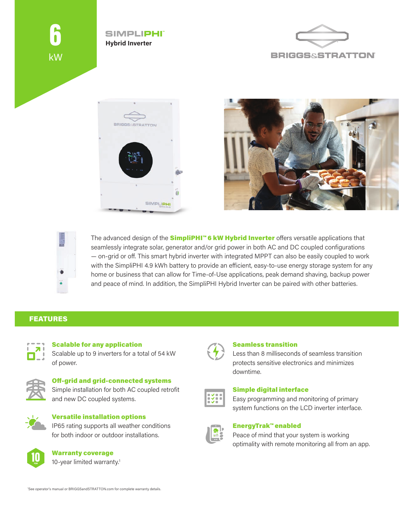









The advanced design of the **SimpliPHI™6 kW Hybrid Inverter** offers versatile applications that seamlessly integrate solar, generator and/or grid power in both AC and DC coupled configurations — on-grid or off. This smart hybrid inverter with integrated MPPT can also be easily coupled to work with the SimpliPHI 4.9 kWh battery to provide an efficient, easy-to-use energy storage system for any home or business that can allow for Time-of-Use applications, peak demand shaving, backup power and peace of mind. In addition, the SimpliPHI Hybrid Inverter can be paired with other batteries.

## FEATURES



Scalable for any application Scalable up to 9 inverters for a total of 54 kW of power.



# Off-grid and grid-connected systems Simple installation for both AC coupled retrofit

and new DC coupled systems.



#### Versatile installation options IP65 rating supports all weather conditions

for both indoor or outdoor installations.



Warranty coverage 10-year limited warranty.<sup>1</sup>



## Seamless transition

Less than 8 milliseconds of seamless transition protects sensitive electronics and minimizes downtime.



## Simple digital interface

Easy programming and monitoring of primary system functions on the LCD inverter interface.



## EnergyTrak™ enabled

Peace of mind that your system is working optimality with remote monitoring all from an app.